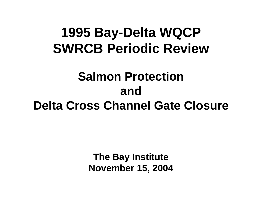# **1995 Bay-Delta WQCP SWRCB Periodic Review**

# **Salmon Protection and Delta Cross Channel Gate Closure**

**The Bay Institute November 15, 2004**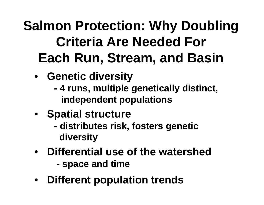# **Salmon Protection: Why Doubling Criteria Are Needed For Each Run, Stream, and Basin**

- **Genetic diversity**
	- **- 4 runs, multiple genetically distinct, independent populations**
- **Spatial structure**
	- **distributes risk, fosters genetic diversity**
- **Differential use of the watershed space and time**
- $\bullet$ **Different population trends**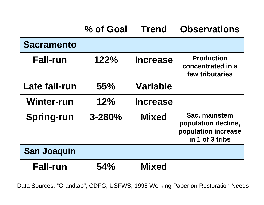|                    | % of Goal  | <b>Trend</b>    | <b>Observations</b>                                                            |
|--------------------|------------|-----------------|--------------------------------------------------------------------------------|
| <b>Sacramento</b>  |            |                 |                                                                                |
| <b>Fall-run</b>    | 122%       | <b>Increase</b> | <b>Production</b><br>concentrated in a<br>few tributaries                      |
| Late fall-run      | 55%        | <b>Variable</b> |                                                                                |
| <b>Winter-run</b>  | 12%        | <b>Increase</b> |                                                                                |
| <b>Spring-run</b>  | $3 - 280%$ | <b>Mixed</b>    | Sac. mainstem<br>population decline,<br>population increase<br>in 1 of 3 tribs |
| <b>San Joaquin</b> |            |                 |                                                                                |
| <b>Fall-run</b>    | 54%        | <b>Mixed</b>    |                                                                                |

Data Sources: "Grandtab", CDFG; USFWS, 1995 Working Paper on Restoration Needs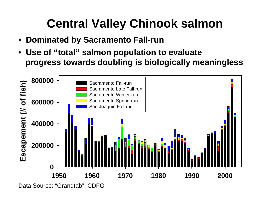# **Central Valley Chinook salmon**

- •**Dominated by Sacramento Fall-run**
- • **Use of "total" salmon population to evaluate progress towards doubling is biologically meaningless**



Data Source: "Grandtab", CDFG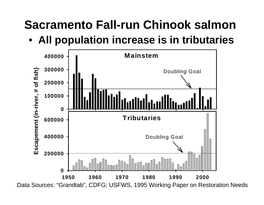# **Sacramento Fall-run Chinook salmon**

## • **All population increase is in tributaries**



Data Sources: "Grandtab", CDFG; USFWS, 1995 Working Paper on Restoration Needs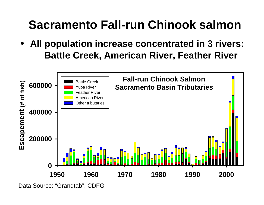# **Sacramento Fall-run Chinook salmon**

• **All population increase concentrated in 3 rivers: Battle Creek, American River, Feather River**



Data Source: "Grandtab", CDFG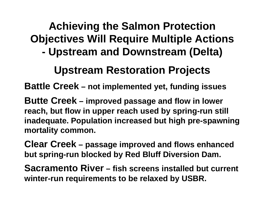#### **Achieving the Salmon Protection Objectives Will Require Multiple Actions - Upstream and Downstream (Delta)**

## **Upstream Restoration Projects**

**Battle Creek – not implemented yet, funding issues**

**Butte Creek – improved passage and flow in lower reach, but flow in upper reach used by spring-run still inadequate. Population increased but high pre-spawning mortality common.**

**Clear Creek – passage improved and flows enhanced but spring-run blocked by Red Bluff Diversion Dam.**

**Sacramento River – fish screens installed but current winter-run requirements to be relaxed by USBR.**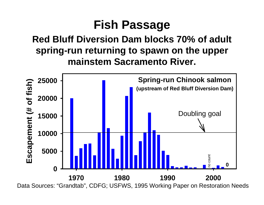## **Fish Passage**

### **Red Bluff Diversion Dam blocks 70% of adult spring-run returning to spawn on the upper mainstem Sacramento River.**



Data Sources: "Grandtab", CDFG; USFWS, 1995 Working Paper on Restoration Needs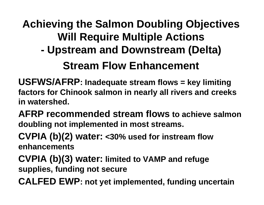# **Achieving the Salmon Doubling Objectives Will Require Multiple Actions**

**- Upstream and Downstream (Delta)**

## **Stream Flow Enhancement**

- **USFWS/AFRP: Inadequate stream flows = key limiting factors for Chinook salmon in nearly all rivers and creeks in watershed.**
- **AFRP recommended stream flows to achieve salmon doubling not implemented in most streams.**
- **CVPIA (b)(2) water: <30% used for instream flow enhancements**
- **CVPIA (b)(3) water: limited to VAMP and refuge supplies, funding not secure**
- **CALFED EWP: not yet implemented, funding uncertain**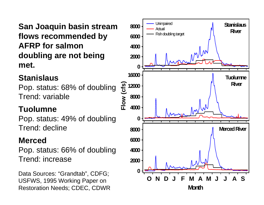**San Joaquin basin stream flows recommended by AFRP for salmon doubling are not being met.**

#### **Stanislaus**

Pop. status: 68% of doubling Trend: variable

#### **Tuolumne**

Pop. status: 49% of doubling Trend: decline

#### **Merced**

Pop. status: 66% of doubling Trend: increase

Data Sources: "Grandtab", CDFG; USFWS, 1995 Working Paper on Restoration Needs; CDEC, CDWR

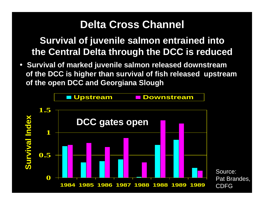## **Delta Cross Channel**

**Survival of juvenile salmon entrained into the Central Delta through the DCC is reduced**

• **Survival of marked juvenile salmon released downstream of the DCC is higher than survival of fish released upstream of the open DCC and Georgiana Slough**

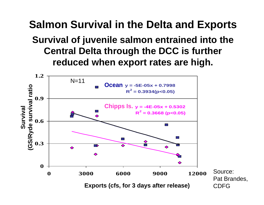## **Salmon Survival in the Delta and Exports Survival of juvenile salmon entrained into the Central Delta through the DCC is further reduced when export rates are high.**

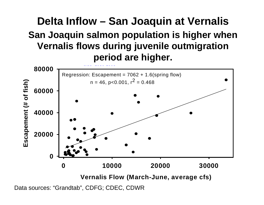## **Delta Inflow – San Joaquin at Vernalis San Joaquin salmon population is higher when Vernalis flows during juvenile outmigration period are higher.**



Data sources: "Grandtab", CDFG; CDEC, CDWR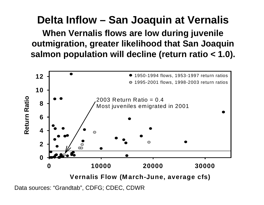### **Delta Inflow – San Joaquin at Vernalis**

**When Vernalis flows are low during juvenile outmigration, greater likelihood that San Joaquin salmon population will decline (return ratio < 1.0).**



Data sources: "Grandtab", CDFG; CDEC, CDWR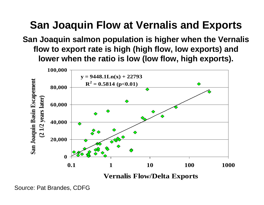## **San Joaquin Flow at Vernalis and Exports**

#### **San Joaquin salmon population is higher when the Vernalis flow to export rate is high (high flow, low exports) and lower when the ratio is low (low flow, high exports).**



Source: Pat Brandes, CDFG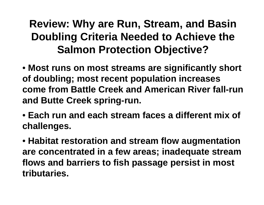**Review: Why are Run, Stream, and Basin Doubling Criteria Needed to Achieve the Salmon Protection Objective?**

- **Most runs on most streams are significantly short of doubling; most recent population increases come from Battle Creek and American River fall-run and Butte Creek spring-run.**
- **Each run and each stream faces a different mix of challenges.**
- **Habitat restoration and stream flow augmentation are concentrated in a few areas; inadequate stream flows and barriers to fish passage persist in most tributaries.**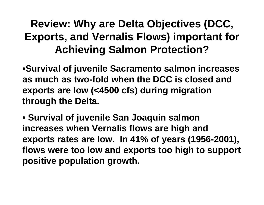## **Review: Why are Delta Objectives (DCC, Exports, and Vernalis Flows) important for Achieving Salmon Protection?**

•**Survival of juvenile Sacramento salmon increases as much as two-fold when the DCC is closed and exports are low (<4500 cfs) during migration through the Delta.**

• **Survival of juvenile San Joaquin salmon increases when Vernalis flows are high and exports rates are low. In 41% of years (1956-2001), flows were too low and exports too high to support positive population growth.**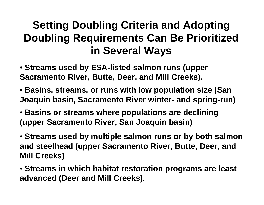## **Setting Doubling Criteria and Adopting Doubling Requirements Can Be Prioritized in Several Ways**

- **Streams used by ESA-listed salmon runs (upper Sacramento River, Butte, Deer, and Mill Creeks).**
- **Basins, streams, or runs with low population size (San Joaquin basin, Sacramento River winter- and spring-run)**
- **Basins or streams where populations are declining (upper Sacramento River, San Joaquin basin)**
- **Streams used by multiple salmon runs or by both salmon and steelhead (upper Sacramento River, Butte, Deer, and Mill Creeks)**
- **Streams in which habitat restoration programs are least advanced (Deer and Mill Creeks).**